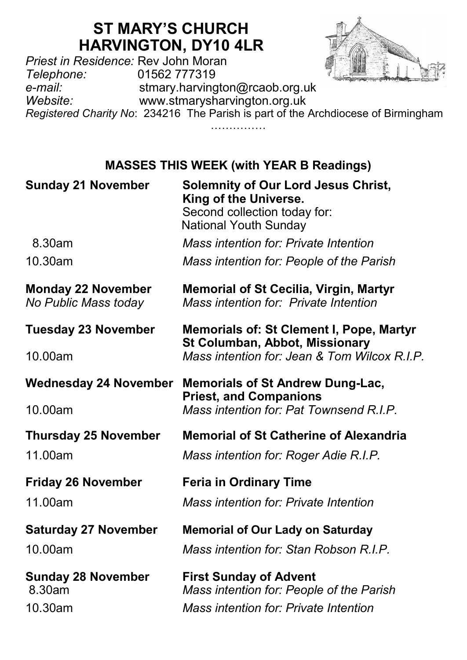# **ST MARY'S CHURCH HARVINGTON, DY10 4LR**

*Priest in Residence:* Rev John Moran *Telephone:* 01562 777319 e-*mail:* stmary.harvington@rcaob.org.uk<br>www.stmarysharvington.org.uk *Website:* www.stmarysharvington.org.uk *Registered Charity No*: 234216 The Parish is part of the Archdiocese of Birmingham

…………………

## **MASSES THIS WEEK (with YEAR B Readings)**

| <b>Sunday 21 November</b>                         | <b>Solemnity of Our Lord Jesus Christ,</b><br>King of the Universe.<br>Second collection today for:<br><b>National Youth Sunday</b> |
|---------------------------------------------------|-------------------------------------------------------------------------------------------------------------------------------------|
| 8.30am                                            | Mass intention for: Private Intention                                                                                               |
| 10.30am                                           | Mass intention for: People of the Parish                                                                                            |
| <b>Monday 22 November</b><br>No Public Mass today | <b>Memorial of St Cecilia, Virgin, Martyr</b><br>Mass intention for: Private Intention                                              |
| <b>Tuesday 23 November</b>                        | <b>Memorials of: St Clement I, Pope, Martyr</b><br>St Columban, Abbot, Missionary                                                   |
| 10.00am                                           | Mass intention for: Jean & Tom Wilcox R.I.P.                                                                                        |
| Wednesday 24 November                             | <b>Memorials of St Andrew Dung-Lac,</b><br><b>Priest, and Companions</b>                                                            |
| 10.00am                                           | Mass intention for: Pat Townsend R.I.P.                                                                                             |
| <b>Thursday 25 November</b>                       | <b>Memorial of St Catherine of Alexandria</b>                                                                                       |
| 11.00am                                           | Mass intention for: Roger Adie R.I.P.                                                                                               |
| <b>Friday 26 November</b>                         | <b>Feria in Ordinary Time</b>                                                                                                       |
| 11.00am                                           | Mass intention for: Private Intention                                                                                               |
| <b>Saturday 27 November</b>                       | <b>Memorial of Our Lady on Saturday</b>                                                                                             |
| 10.00am                                           | Mass intention for: Stan Robson R.I.P.                                                                                              |
| <b>Sunday 28 November</b><br>8.30am<br>10.30am    | <b>First Sunday of Advent</b><br>Mass intention for: People of the Parish<br>Mass intention for: Private Intention                  |
|                                                   |                                                                                                                                     |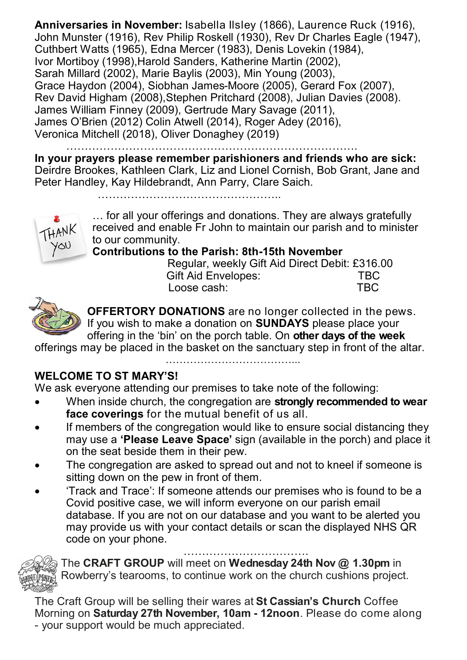**Anniversaries in November:** Isabella Ilsley (1866), Laurence Ruck (1916), John Munster (1916), Rev Philip Roskell (1930), Rev Dr Charles Eagle (1947), Cuthbert Watts (1965), Edna Mercer (1983), Denis Lovekin (1984), Ivor Mortiboy (1998),Harold Sanders, Katherine Martin (2002), Sarah Millard (2002), Marie Baylis (2003), Min Young (2003), Grace Haydon (2004), Siobhan James-Moore (2005), Gerard Fox (2007), Rev David Higham (2008),Stephen Pritchard (2008), Julian Davies (2008). James William Finney (2009), Gertrude Mary Savage (2011), James O'Brien (2012) Colin Atwell (2014), Roger Adey (2016), Veronica Mitchell (2018), Oliver Donaghey (2019)

…………………………………………………………………….

**In your prayers please remember parishioners and friends who are sick:**  Deirdre Brookes, Kathleen Clark, Liz and Lionel Cornish, Bob Grant, Jane and Peter Handley, Kay Hildebrandt, Ann Parry, Clare Saich.

…………………………………………..



… for all your offerings and donations. They are always gratefully received and enable Fr John to maintain our parish and to minister to our community.

**Contributions to the Parish: 8th-15th November**

 Regular, weekly Gift Aid Direct Debit: £316.00 Gift Aid Envelopes: TBC<br>Those cash: TBC Loose cash:



**OFFERTORY DONATIONS** are no longer collected in the pews. If you wish to make a donation on **SUNDAYS** please place your offering in the 'bin' on the porch table. On **other days of the week** 

offerings may be placed in the basket on the sanctuary step in front of the altar.

#### …………………………………

#### **WELCOME TO ST MARY'S!**

We ask everyone attending our premises to take note of the following:

- When inside church, the congregation are **strongly recommended to wear face coverings** for the mutual benefit of us all.
- If members of the congregation would like to ensure social distancing they may use a **'Please Leave Space'** sign (available in the porch) and place it on the seat beside them in their pew.
- The congregation are asked to spread out and not to kneel if someone is sitting down on the pew in front of them.
- 'Track and Trace': If someone attends our premises who is found to be a Covid positive case, we will inform everyone on our parish email database. If you are not on our database and you want to be alerted you may provide us with your contact details or scan the displayed NHS QR code on your phone.



…………………………….

The **CRAFT GROUP** will meet on **Wednesday 24th Nov @ 1.30pm** in Rowberry's tearooms, to continue work on the church cushions project.

The Craft Group will be selling their wares at **St Cassian's Church** Coffee Morning on **Saturday 27th November, 10am - 12noon**. Please do come along - your support would be much appreciated.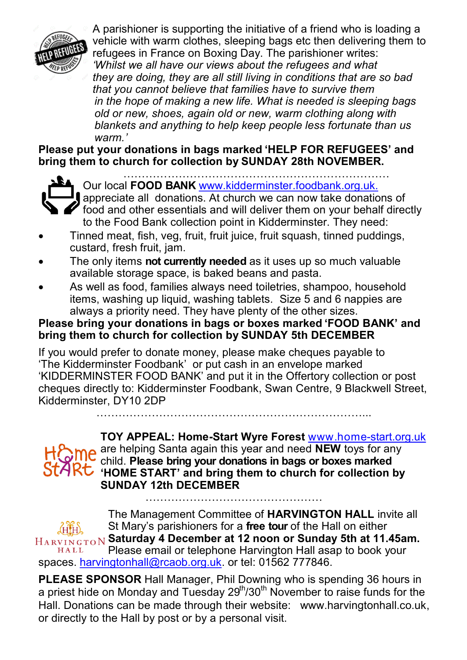

A parishioner is supporting the initiative of a friend who is loading a vehicle with warm clothes, sleeping bags etc then delivering them to refugees in France on Boxing Day. The parishioner writes: *'Whilst we all have our views about the refugees and what they are doing, they are all still living in conditions that are so bad that you cannot believe that families have to survive them in the hope of making a new life. What is needed is sleeping bags old or new, shoes, again old or new, warm clothing along with blankets and anything to help keep people less fortunate than us warm.'*

**Please put your donations in bags marked 'HELP FOR REFUGEES' and bring them to church for collection by SUNDAY 28th NOVEMBER.**



……………………………………………………………… Our local **FOOD BANK** www.kidderminster.foodbank.org.uk.

**a** appreciate all donations. At church we can now take donations of  $\gamma$  food and other essentials and will deliver them on your behalf directly to the Food Bank collection point in Kidderminster. They need:

- Tinned meat, fish, veg, fruit, fruit juice, fruit squash, tinned puddings, custard, fresh fruit, jam.
- The only items **not currently needed** as it uses up so much valuable available storage space, is baked beans and pasta.
- As well as food, families always need toiletries, shampoo, household items, washing up liquid, washing tablets. Size 5 and 6 nappies are always a priority need. They have plenty of the other sizes.

#### **Please bring your donations in bags or boxes marked 'FOOD BANK' and bring them to church for collection by SUNDAY 5th DECEMBER**

If you would prefer to donate money, please make cheques payable to 'The Kidderminster Foodbank' or put cash in an envelope marked 'KIDDERMINSTER FOOD BANK' and put it in the Offertory collection or post cheques directly to: Kidderminster Foodbank, Swan Centre, 9 Blackwell Street, Kidderminster, DY10 2DP

………………………………………………………………...



**TOY APPEAL: Home-Start Wyre Forest** www.home-start.org.uk are helping Santa again this year and need **NEW** toys for any child. **Please bring your donations in bags or boxes marked**  StAR<del>C</del> HOME START' and bring them to church for collection by **SUNDAY 12th DECEMBER** …………………………………………

The Management Committee of **HARVINGTON HALL** invite all St Mary's parishioners for a **free tour** of the Hall on either **Saturday 4 December at 12 noon or Sunday 5th at 11.45am.**  Please email or telephone Harvington Hall asap to book your HALL spaces. [harvingtonhall@rcaob.org.uk.](mailto:harvingtonhall@rcaob.org.uk) or tel: 01562 777846.

**PLEASE SPONSOR** Hall Manager, Phil Downing who is spending 36 hours in a priest hide on Monday and Tuesday 29<sup>th</sup>/30<sup>th</sup> November to raise funds for the Hall. Donations can be made through their website: www.harvingtonhall.co.uk, or directly to the Hall by post or by a personal visit.